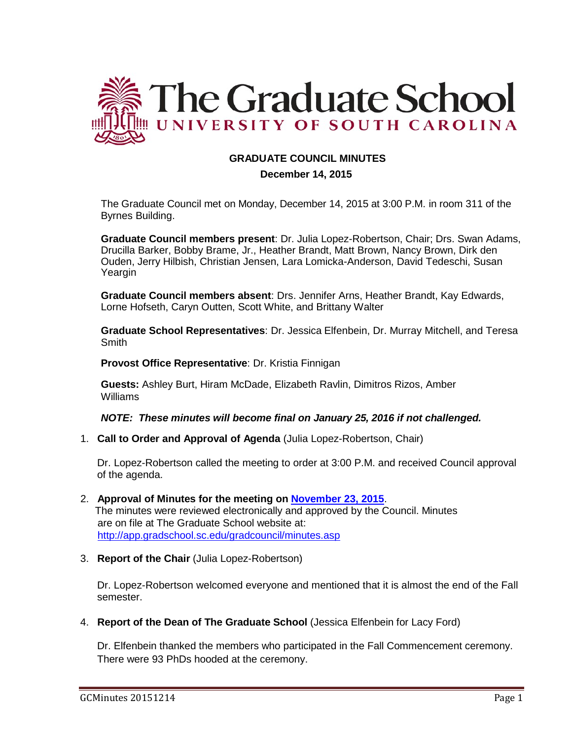

## **GRADUATE COUNCIL MINUTES**

#### **December 14, 2015**

The Graduate Council met on Monday, December 14, 2015 at 3:00 P.M. in room 311 of the Byrnes Building.

**Graduate Council members present**: Dr. Julia Lopez-Robertson, Chair; Drs. Swan Adams, Drucilla Barker, Bobby Brame, Jr., Heather Brandt, Matt Brown, Nancy Brown, Dirk den Ouden, Jerry Hilbish, Christian Jensen, Lara Lomicka-Anderson, David Tedeschi, Susan Yeargin

**Graduate Council members absent**: Drs. Jennifer Arns, Heather Brandt, Kay Edwards, Lorne Hofseth, Caryn Outten, Scott White, and Brittany Walter

**Graduate School Representatives**: Dr. Jessica Elfenbein, Dr. Murray Mitchell, and Teresa **Smith** 

**Provost Office Representative**: Dr. Kristia Finnigan

**Guests:** Ashley Burt, Hiram McDade, Elizabeth Ravlin, Dimitros Rizos, Amber Williams

*NOTE: These minutes will become final on January 25, 2016 if not challenged.*

1. **Call to Order and Approval of Agenda** (Julia Lopez-Robertson, Chair)

Dr. Lopez-Robertson called the meeting to order at 3:00 P.M. and received Council approval of the agenda.

- 2. **Approval of Minutes for the meeting on [November 23, 2015](http://gradschool.sc.edu/facstaff/gradcouncil/2015/GC%20Minutes%20November%2023%202015MMfinal2.pdf)**. The minutes were reviewed electronically and approved by the Council. Minutes are on file at The Graduate School website at: <http://app.gradschool.sc.edu/gradcouncil/minutes.asp>
- 3. **Report of the Chair** (Julia Lopez-Robertson)

Dr. Lopez-Robertson welcomed everyone and mentioned that it is almost the end of the Fall semester.

4. **Report of the Dean of The Graduate School** (Jessica Elfenbein for Lacy Ford)

Dr. Elfenbein thanked the members who participated in the Fall Commencement ceremony. There were 93 PhDs hooded at the ceremony.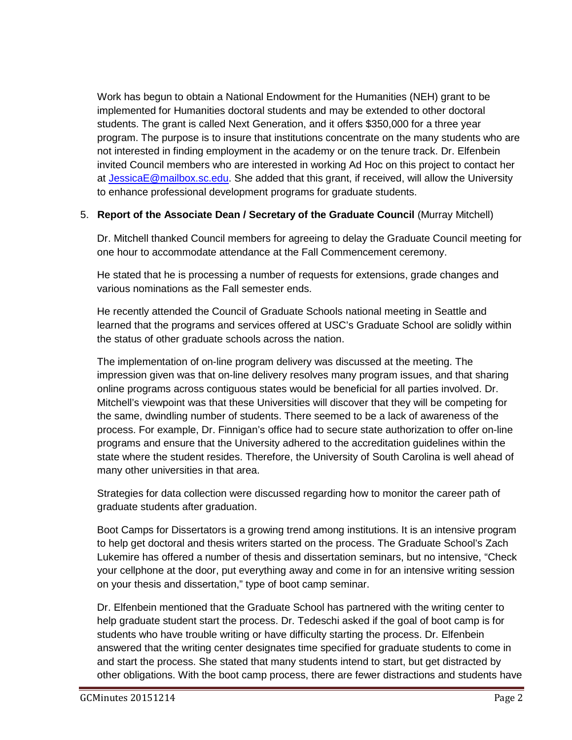Work has begun to obtain a National Endowment for the Humanities (NEH) grant to be implemented for Humanities doctoral students and may be extended to other doctoral students. The grant is called Next Generation, and it offers \$350,000 for a three year program. The purpose is to insure that institutions concentrate on the many students who are not interested in finding employment in the academy or on the tenure track. Dr. Elfenbein invited Council members who are interested in working Ad Hoc on this project to contact her at [JessicaE@mailbox.sc.edu.](mailto:JessicaE@mailbox.sc.edu) She added that this grant, if received, will allow the University to enhance professional development programs for graduate students.

# 5. **Report of the Associate Dean / Secretary of the Graduate Council** (Murray Mitchell)

Dr. Mitchell thanked Council members for agreeing to delay the Graduate Council meeting for one hour to accommodate attendance at the Fall Commencement ceremony.

He stated that he is processing a number of requests for extensions, grade changes and various nominations as the Fall semester ends.

He recently attended the Council of Graduate Schools national meeting in Seattle and learned that the programs and services offered at USC's Graduate School are solidly within the status of other graduate schools across the nation.

The implementation of on-line program delivery was discussed at the meeting. The impression given was that on-line delivery resolves many program issues, and that sharing online programs across contiguous states would be beneficial for all parties involved. Dr. Mitchell's viewpoint was that these Universities will discover that they will be competing for the same, dwindling number of students. There seemed to be a lack of awareness of the process. For example, Dr. Finnigan's office had to secure state authorization to offer on-line programs and ensure that the University adhered to the accreditation guidelines within the state where the student resides. Therefore, the University of South Carolina is well ahead of many other universities in that area.

Strategies for data collection were discussed regarding how to monitor the career path of graduate students after graduation.

Boot Camps for Dissertators is a growing trend among institutions. It is an intensive program to help get doctoral and thesis writers started on the process. The Graduate School's Zach Lukemire has offered a number of thesis and dissertation seminars, but no intensive, "Check your cellphone at the door, put everything away and come in for an intensive writing session on your thesis and dissertation," type of boot camp seminar.

Dr. Elfenbein mentioned that the Graduate School has partnered with the writing center to help graduate student start the process. Dr. Tedeschi asked if the goal of boot camp is for students who have trouble writing or have difficulty starting the process. Dr. Elfenbein answered that the writing center designates time specified for graduate students to come in and start the process. She stated that many students intend to start, but get distracted by other obligations. With the boot camp process, there are fewer distractions and students have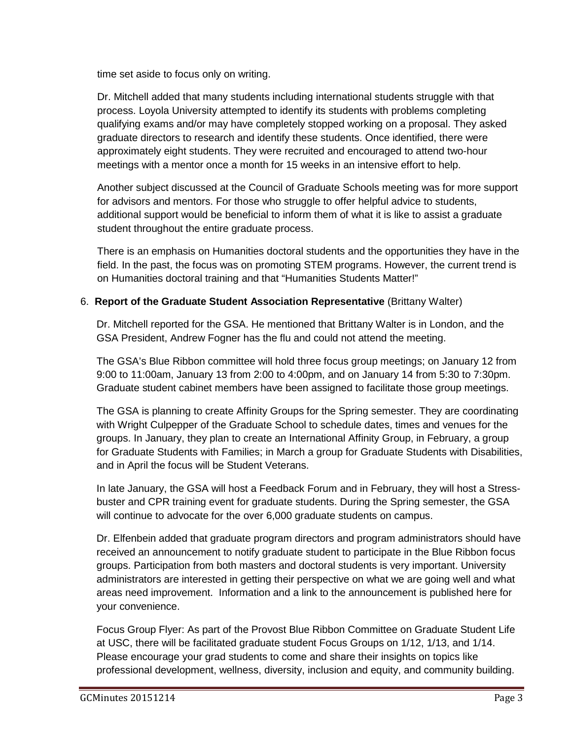time set aside to focus only on writing.

Dr. Mitchell added that many students including international students struggle with that process. Loyola University attempted to identify its students with problems completing qualifying exams and/or may have completely stopped working on a proposal. They asked graduate directors to research and identify these students. Once identified, there were approximately eight students. They were recruited and encouraged to attend two-hour meetings with a mentor once a month for 15 weeks in an intensive effort to help.

Another subject discussed at the Council of Graduate Schools meeting was for more support for advisors and mentors. For those who struggle to offer helpful advice to students, additional support would be beneficial to inform them of what it is like to assist a graduate student throughout the entire graduate process.

There is an emphasis on Humanities doctoral students and the opportunities they have in the field. In the past, the focus was on promoting STEM programs. However, the current trend is on Humanities doctoral training and that "Humanities Students Matter!"

## 6. **Report of the Graduate Student Association Representative** (Brittany Walter)

Dr. Mitchell reported for the GSA. He mentioned that Brittany Walter is in London, and the GSA President, Andrew Fogner has the flu and could not attend the meeting.

The GSA's Blue Ribbon committee will hold three focus group meetings; on January 12 from 9:00 to 11:00am, January 13 from 2:00 to 4:00pm, and on January 14 from 5:30 to 7:30pm. Graduate student cabinet members have been assigned to facilitate those group meetings.

The GSA is planning to create Affinity Groups for the Spring semester. They are coordinating with Wright Culpepper of the Graduate School to schedule dates, times and venues for the groups. In January, they plan to create an International Affinity Group, in February, a group for Graduate Students with Families; in March a group for Graduate Students with Disabilities, and in April the focus will be Student Veterans.

In late January, the GSA will host a Feedback Forum and in February, they will host a Stressbuster and CPR training event for graduate students. During the Spring semester, the GSA will continue to advocate for the over 6,000 graduate students on campus.

Dr. Elfenbein added that graduate program directors and program administrators should have received an announcement to notify graduate student to participate in the Blue Ribbon focus groups. Participation from both masters and doctoral students is very important. University administrators are interested in getting their perspective on what we are going well and what areas need improvement. Information and a link to the announcement is published here for your convenience.

Focus Group Flyer: As part of the Provost Blue Ribbon Committee on Graduate Student Life at USC, there will be facilitated graduate student Focus Groups on 1/12, 1/13, and 1/14. Please encourage your grad students to come and share their insights on topics like professional development, wellness, diversity, inclusion and equity, and community building.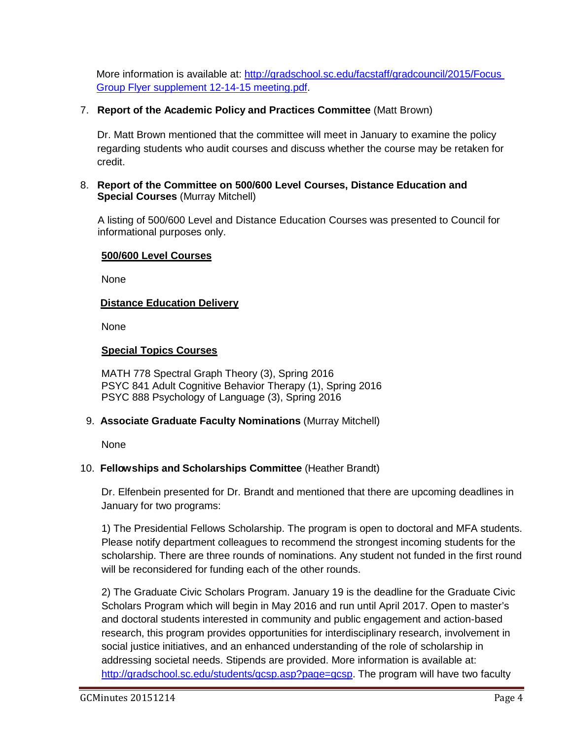More information is available at: [http://gradschool.sc.edu/facstaff/gradcouncil/2015/Focus](http://gradschool.sc.edu/facstaff/gradcouncil/2015/Focus%20Group%20Flyer%20supplement%2012-14-15%20meeting.pdf)  [Group Flyer supplement 12-14-15 meeting.pdf.](http://gradschool.sc.edu/facstaff/gradcouncil/2015/Focus%20Group%20Flyer%20supplement%2012-14-15%20meeting.pdf)

# 7. **Report of the Academic Policy and Practices Committee** (Matt Brown)

Dr. Matt Brown mentioned that the committee will meet in January to examine the policy regarding students who audit courses and discuss whether the course may be retaken for credit.

### 8. **Report of the Committee on 500/600 Level Courses, Distance Education and Special Courses** (Murray Mitchell)

A listing of 500/600 Level and Distance Education Courses was presented to Council for informational purposes only.

## **500/600 Level Courses**

None

## **Distance Education Delivery**

None

## **Special Topics Courses**

MATH 778 Spectral Graph Theory (3), Spring 2016 PSYC 841 Adult Cognitive Behavior Therapy (1), Spring 2016 PSYC 888 Psychology of Language (3), Spring 2016

### 9. **Associate Graduate Faculty Nominations** (Murray Mitchell)

None

# 10. **Fellowships and Scholarships Committee** (Heather Brandt)

Dr. Elfenbein presented for Dr. Brandt and mentioned that there are upcoming deadlines in January for two programs:

1) The Presidential Fellows Scholarship. The program is open to doctoral and MFA students. Please notify department colleagues to recommend the strongest incoming students for the scholarship. There are three rounds of nominations. Any student not funded in the first round will be reconsidered for funding each of the other rounds.

2) The Graduate Civic Scholars Program. January 19 is the deadline for the Graduate Civic Scholars Program which will begin in May 2016 and run until April 2017. Open to master's and doctoral students interested in community and public engagement and action-based research, this program provides opportunities for interdisciplinary research, involvement in social justice initiatives, and an enhanced understanding of the role of scholarship in addressing societal needs. Stipends are provided. More information is available at: [http://gradschool.sc.edu/students/gcsp.asp?page=gcsp.](http://gradschool.sc.edu/students/gcsp.asp?page=gcsp) The program will have two faculty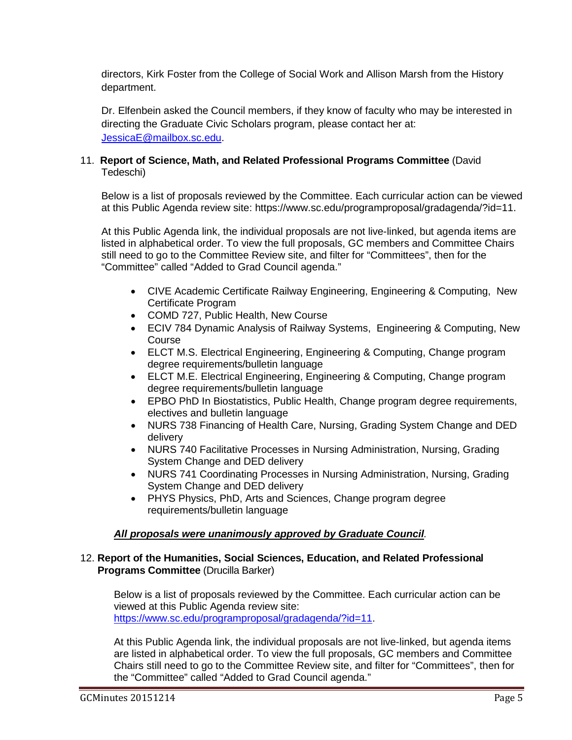directors, Kirk Foster from the College of Social Work and Allison Marsh from the History department.

Dr. Elfenbein asked the Council members, if they know of faculty who may be interested in directing the Graduate Civic Scholars program, please contact her at: [JessicaE@mailbox.sc.edu.](mailto:JessicaE@mailbox.sc.edu)

### 11. **Report of Science, Math, and Related Professional Programs Committee** (David Tedeschi)

Below is a list of proposals reviewed by the Committee. Each curricular action can be viewed at this Public Agenda review site: https://www.sc.edu/programproposal/gradagenda/?id=11.

At this Public Agenda link, the individual proposals are not live-linked, but agenda items are listed in alphabetical order. To view the full proposals, GC members and Committee Chairs still need to go to the Committee Review site, and filter for "Committees", then for the "Committee" called "Added to Grad Council agenda."

- CIVE Academic Certificate Railway Engineering, Engineering & Computing, New Certificate Program
- COMD 727, Public Health, New Course
- ECIV 784 Dynamic Analysis of Railway Systems, Engineering & Computing, New Course
- ELCT M.S. Electrical Engineering, Engineering & Computing, Change program degree requirements/bulletin language
- ELCT M.E. Electrical Engineering, Engineering & Computing, Change program degree requirements/bulletin language
- EPBO PhD In Biostatistics, Public Health, Change program degree requirements, electives and bulletin language
- NURS 738 Financing of Health Care, Nursing, Grading System Change and DED delivery
- NURS 740 Facilitative Processes in Nursing Administration, Nursing, Grading System Change and DED delivery
- NURS 741 Coordinating Processes in Nursing Administration, Nursing, Grading System Change and DED delivery
- PHYS Physics, PhD, Arts and Sciences, Change program degree requirements/bulletin language

# *All proposals were unanimously approved by Graduate Council.*

### 12. **Report of the Humanities, Social Sciences, Education, and Related Professional Programs Committee** (Drucilla Barker)

Below is a list of proposals reviewed by the Committee. Each curricular action can be viewed at this Public Agenda review site: [https://www.sc.edu/programproposal/gradagenda/?id=11.](https://www.sc.edu/programproposal/gradagenda/?id=11)

At this Public Agenda link, the individual proposals are not live-linked, but agenda items are listed in alphabetical order. To view the full proposals, GC members and Committee Chairs still need to go to the Committee Review site, and filter for "Committees", then for the "Committee" called "Added to Grad Council agenda."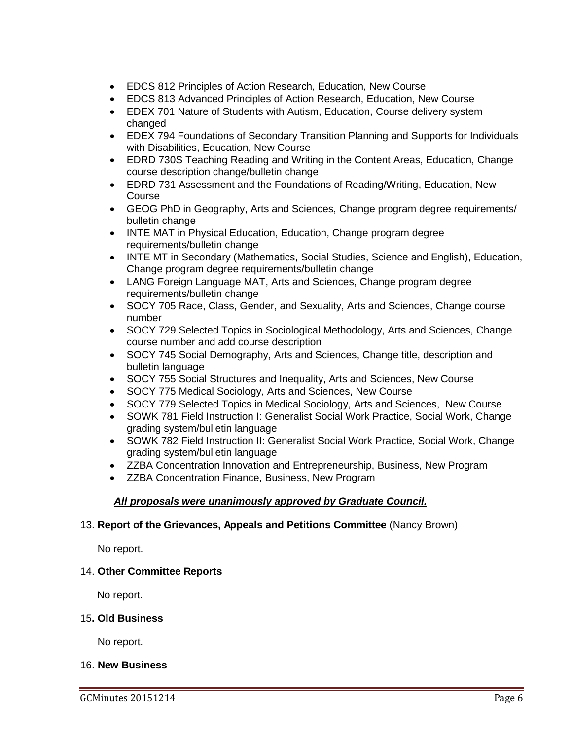- EDCS 812 Principles of Action Research, Education, New Course
- EDCS 813 Advanced Principles of Action Research, Education, New Course
- EDEX 701 Nature of Students with Autism, Education, Course delivery system changed
- EDEX 794 Foundations of Secondary Transition Planning and Supports for Individuals with Disabilities, Education, New Course
- EDRD 730S Teaching Reading and Writing in the Content Areas, Education, Change course description change/bulletin change
- EDRD 731 Assessment and the Foundations of Reading/Writing, Education, New Course
- GEOG PhD in Geography, Arts and Sciences, Change program degree requirements/ bulletin change
- INTE MAT in Physical Education, Education, Change program degree requirements/bulletin change
- INTE MT in Secondary (Mathematics, Social Studies, Science and English), Education, Change program degree requirements/bulletin change
- LANG Foreign Language MAT, Arts and Sciences, Change program degree requirements/bulletin change
- SOCY 705 Race, Class, Gender, and Sexuality, Arts and Sciences, Change course number
- SOCY 729 Selected Topics in Sociological Methodology, Arts and Sciences, Change course number and add course description
- SOCY 745 Social Demography, Arts and Sciences, Change title, description and bulletin language
- SOCY 755 Social Structures and Inequality, Arts and Sciences, New Course
- SOCY 775 Medical Sociology, Arts and Sciences, New Course
- SOCY 779 Selected Topics in Medical Sociology, Arts and Sciences, New Course
- SOWK 781 Field Instruction I: Generalist Social Work Practice, Social Work, Change grading system/bulletin language
- SOWK 782 Field Instruction II: Generalist Social Work Practice, Social Work, Change grading system/bulletin language
- ZZBA Concentration Innovation and Entrepreneurship, Business, New Program
- ZZBA Concentration Finance, Business, New Program

# *All proposals were unanimously approved by Graduate Council.*

### 13. **Report of the Grievances, Appeals and Petitions Committee** (Nancy Brown)

No report.

#### 14. **Other Committee Reports**

No report.

#### 15**. Old Business**

No report.

#### 16. **New Business**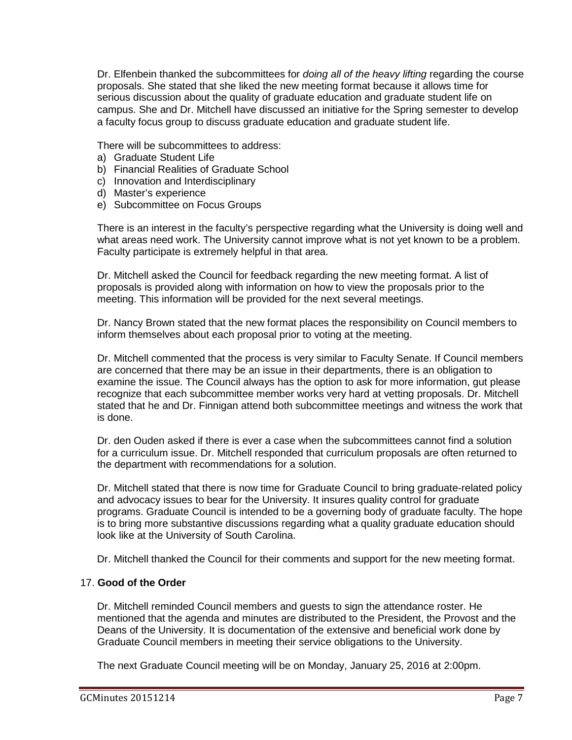Dr. Elfenbein thanked the subcommittees for *doing all of the heavy lifting* regarding the course proposals. She stated that she liked the new meeting format because it allows time for serious discussion about the quality of graduate education and graduate student life on campus. She and Dr. Mitchell have discussed an initiative for the Spring semester to develop a faculty focus group to discuss graduate education and graduate student life.

There will be subcommittees to address:

- a) Graduate Student Life
- b) Financial Realities of Graduate School
- c) Innovation and Interdisciplinary
- d) Master's experience
- e) Subcommittee on Focus Groups

There is an interest in the faculty's perspective regarding what the University is doing well and what areas need work. The University cannot improve what is not yet known to be a problem. Faculty participate is extremely helpful in that area.

Dr. Mitchell asked the Council for feedback regarding the new meeting format. A list of proposals is provided along with information on how to view the proposals prior to the meeting. This information will be provided for the next several meetings.

Dr. Nancy Brown stated that the new format places the responsibility on Council members to inform themselves about each proposal prior to voting at the meeting.

Dr. Mitchell commented that the process is very similar to Faculty Senate. If Council members are concerned that there may be an issue in their departments, there is an obligation to examine the issue. The Council always has the option to ask for more information, gut please recognize that each subcommittee member works very hard at vetting proposals. Dr. Mitchell stated that he and Dr. Finnigan attend both subcommittee meetings and witness the work that is done.

Dr. den Ouden asked if there is ever a case when the subcommittees cannot find a solution for a curriculum issue. Dr. Mitchell responded that curriculum proposals are often returned to the department with recommendations for a solution.

Dr. Mitchell stated that there is now time for Graduate Council to bring graduate-related policy and advocacy issues to bear for the University. It insures quality control for graduate programs. Graduate Council is intended to be a governing body of graduate faculty. The hope is to bring more substantive discussions regarding what a quality graduate education should look like at the University of South Carolina.

Dr. Mitchell thanked the Council for their comments and support for the new meeting format.

### 17. **Good of the Order**

Dr. Mitchell reminded Council members and guests to sign the attendance roster. He mentioned that the agenda and minutes are distributed to the President, the Provost and the Deans of the University. It is documentation of the extensive and beneficial work done by Graduate Council members in meeting their service obligations to the University.

The next Graduate Council meeting will be on Monday, January 25, 2016 at 2:00pm.